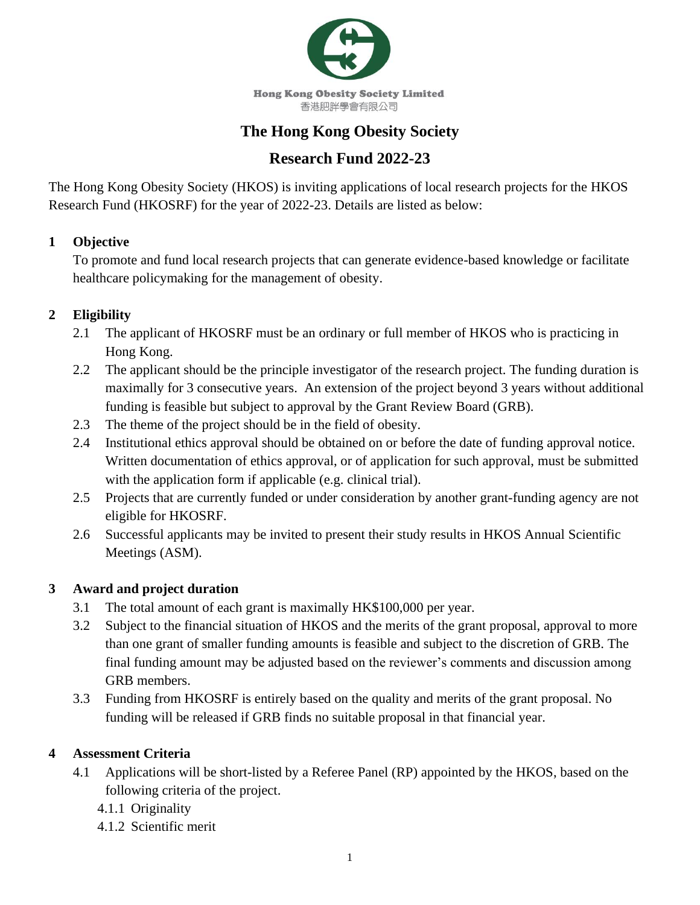

# **The Hong Kong Obesity Society**

# **Research Fund 2022-23**

The Hong Kong Obesity Society (HKOS) is inviting applications of local research projects for the HKOS Research Fund (HKOSRF) for the year of 2022-23. Details are listed as below:

#### **1 Objective**

To promote and fund local research projects that can generate evidence-based knowledge or facilitate healthcare policymaking for the management of obesity.

### **2 Eligibility**

- 2.1 The applicant of HKOSRF must be an ordinary or full member of HKOS who is practicing in Hong Kong.
- 2.2 The applicant should be the principle investigator of the research project. The funding duration is maximally for 3 consecutive years. An extension of the project beyond 3 years without additional funding is feasible but subject to approval by the Grant Review Board (GRB).
- 2.3 The theme of the project should be in the field of obesity.
- 2.4 Institutional ethics approval should be obtained on or before the date of funding approval notice. Written documentation of ethics approval, or of application for such approval, must be submitted with the application form if applicable (e.g. clinical trial).
- 2.5 Projects that are currently funded or under consideration by another grant-funding agency are not eligible for HKOSRF.
- 2.6 Successful applicants may be invited to present their study results in HKOS Annual Scientific Meetings (ASM).

### **3 Award and project duration**

- 3.1 The total amount of each grant is maximally HK\$100,000 per year.
- 3.2 Subject to the financial situation of HKOS and the merits of the grant proposal, approval to more than one grant of smaller funding amounts is feasible and subject to the discretion of GRB. The final funding amount may be adjusted based on the reviewer's comments and discussion among GRB members.
- 3.3 Funding from HKOSRF is entirely based on the quality and merits of the grant proposal. No funding will be released if GRB finds no suitable proposal in that financial year.

#### **4 Assessment Criteria**

- 4.1 Applications will be short-listed by a Referee Panel (RP) appointed by the HKOS, based on the following criteria of the project.
	- 4.1.1 Originality
	- 4.1.2 Scientific merit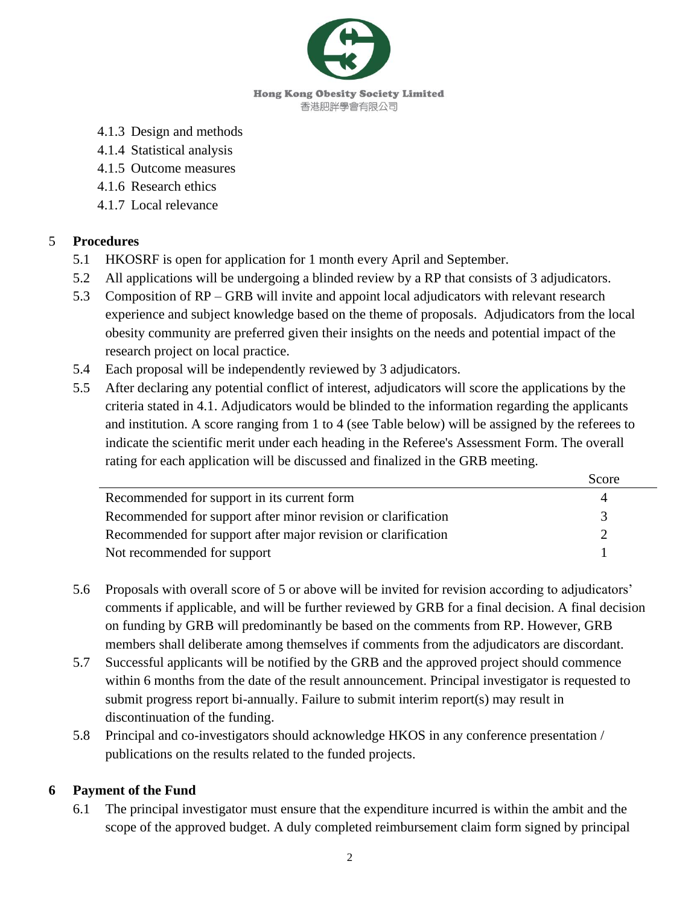

- 4.1.3 Design and methods
- 4.1.4 Statistical analysis
- 4.1.5 Outcome measures
- 4.1.6 Research ethics
- 4.1.7 Local relevance

#### 5 **Procedures**

- 5.1 HKOSRF is open for application for 1 month every April and September.
- 5.2 All applications will be undergoing a blinded review by a RP that consists of 3 adjudicators.
- 5.3 Composition of RP GRB will invite and appoint local adjudicators with relevant research experience and subject knowledge based on the theme of proposals. Adjudicators from the local obesity community are preferred given their insights on the needs and potential impact of the research project on local practice.
- 5.4 Each proposal will be independently reviewed by 3 adjudicators.
- 5.5 After declaring any potential conflict of interest, adjudicators will score the applications by the criteria stated in 4.1. Adjudicators would be blinded to the information regarding the applicants and institution. A score ranging from 1 to 4 (see Table below) will be assigned by the referees to indicate the scientific merit under each heading in the Referee's Assessment Form. The overall rating for each application will be discussed and finalized in the GRB meeting.

|                                                               | Score |
|---------------------------------------------------------------|-------|
| Recommended for support in its current form                   |       |
| Recommended for support after minor revision or clarification |       |
| Recommended for support after major revision or clarification |       |
| Not recommended for support                                   |       |

- 5.6 Proposals with overall score of 5 or above will be invited for revision according to adjudicators' comments if applicable, and will be further reviewed by GRB for a final decision. A final decision on funding by GRB will predominantly be based on the comments from RP. However, GRB members shall deliberate among themselves if comments from the adjudicators are discordant.
- 5.7 Successful applicants will be notified by the GRB and the approved project should commence within 6 months from the date of the result announcement. Principal investigator is requested to submit progress report bi-annually. Failure to submit interim report(s) may result in discontinuation of the funding.
- 5.8 Principal and co-investigators should acknowledge HKOS in any conference presentation / publications on the results related to the funded projects.

#### **6 Payment of the Fund**

6.1 The principal investigator must ensure that the expenditure incurred is within the ambit and the scope of the approved budget. A duly completed reimbursement claim form signed by principal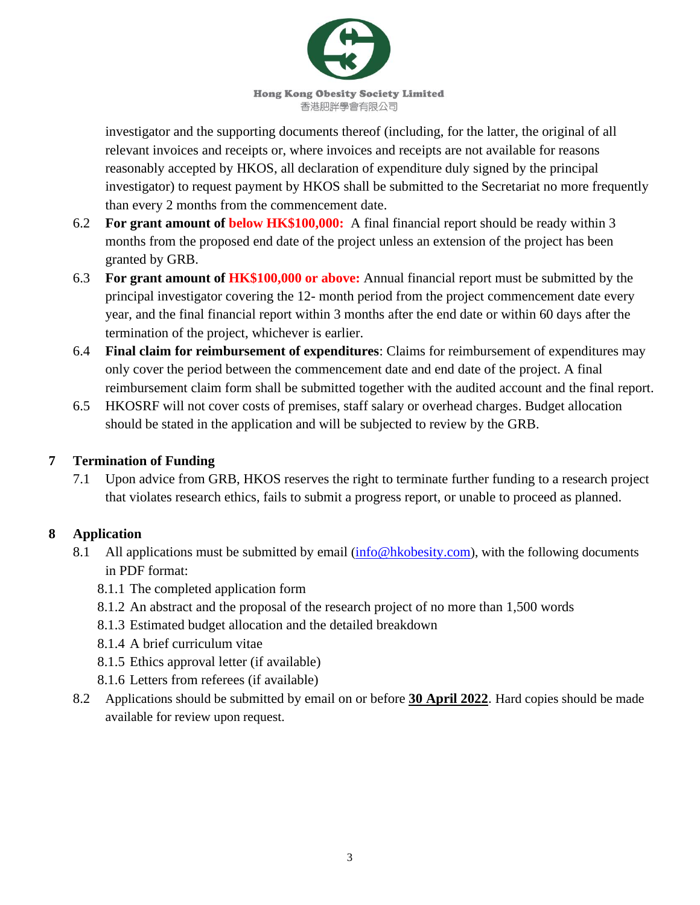

**Hong Kong Obesity Society Limited** 香港肥胖學會有限公司

investigator and the supporting documents thereof (including, for the latter, the original of all relevant invoices and receipts or, where invoices and receipts are not available for reasons reasonably accepted by HKOS, all declaration of expenditure duly signed by the principal investigator) to request payment by HKOS shall be submitted to the Secretariat no more frequently than every 2 months from the commencement date.

- 6.2 **For grant amount of below HK\$100,000:** A final financial report should be ready within 3 months from the proposed end date of the project unless an extension of the project has been granted by GRB.
- 6.3 **For grant amount of HK\$100,000 or above:** Annual financial report must be submitted by the principal investigator covering the 12- month period from the project commencement date every year, and the final financial report within 3 months after the end date or within 60 days after the termination of the project, whichever is earlier.
- 6.4 **Final claim for reimbursement of expenditures**: Claims for reimbursement of expenditures may only cover the period between the commencement date and end date of the project. A final reimbursement claim form shall be submitted together with the audited account and the final report.
- 6.5 HKOSRF will not cover costs of premises, staff salary or overhead charges. Budget allocation should be stated in the application and will be subjected to review by the GRB.

### **7 Termination of Funding**

7.1 Upon advice from GRB, HKOS reserves the right to terminate further funding to a research project that violates research ethics, fails to submit a progress report, or unable to proceed as planned.

### **8 Application**

- 8.1 All applications must be submitted by email ([info@hkobesity.com](mailto:info@hkobesity.com)), with the following documents in PDF format:
	- 8.1.1 The completed application form
	- 8.1.2 An abstract and the proposal of the research project of no more than 1,500 words
	- 8.1.3 Estimated budget allocation and the detailed breakdown
	- 8.1.4 A brief curriculum vitae
	- 8.1.5 Ethics approval letter (if available)
	- 8.1.6 Letters from referees (if available)
- 8.2 Applications should be submitted by email on or before **30 April 2022**. Hard copies should be made available for review upon request.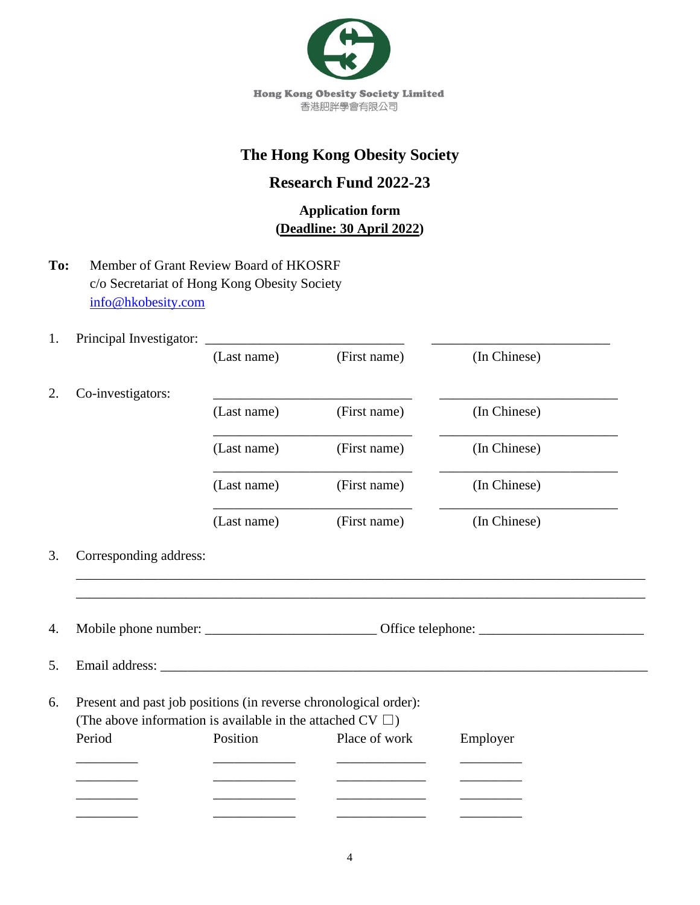

# **The Hong Kong Obesity Society**

## **Research Fund 2022-23**

## **Application form (Deadline: 30 April 2022)**

- **To:** Member of Grant Review Board of HKOSRF c/o Secretariat of Hong Kong Obesity Society [info@hkobesity.com](mailto:info@hkobesity.com)
- 1. Principal Investigator: \_\_\_\_\_\_\_\_\_\_\_\_\_\_\_\_\_\_\_\_\_\_\_\_\_\_\_\_\_ \_\_\_\_\_\_\_\_\_\_\_\_\_\_\_\_\_\_\_\_\_\_\_\_\_\_

|                        | (Last name)                                                      | (First name)  | (In Chinese) |  |
|------------------------|------------------------------------------------------------------|---------------|--------------|--|
| Co-investigators:      |                                                                  |               |              |  |
|                        | (Last name)                                                      | (First name)  | (In Chinese) |  |
|                        | (Last name)                                                      | (First name)  | (In Chinese) |  |
|                        | (Last name)                                                      | (First name)  | (In Chinese) |  |
|                        | (Last name)                                                      | (First name)  | (In Chinese) |  |
| Corresponding address: |                                                                  |               |              |  |
|                        |                                                                  |               |              |  |
|                        |                                                                  |               |              |  |
|                        |                                                                  |               |              |  |
|                        |                                                                  |               |              |  |
|                        |                                                                  |               |              |  |
|                        | Present and past job positions (in reverse chronological order): |               |              |  |
|                        | (The above information is available in the attached CV $\Box$ )  |               |              |  |
| Period                 | Position                                                         | Place of work | Employer     |  |
|                        |                                                                  |               |              |  |
|                        |                                                                  |               |              |  |
|                        |                                                                  |               |              |  |
|                        |                                                                  |               |              |  |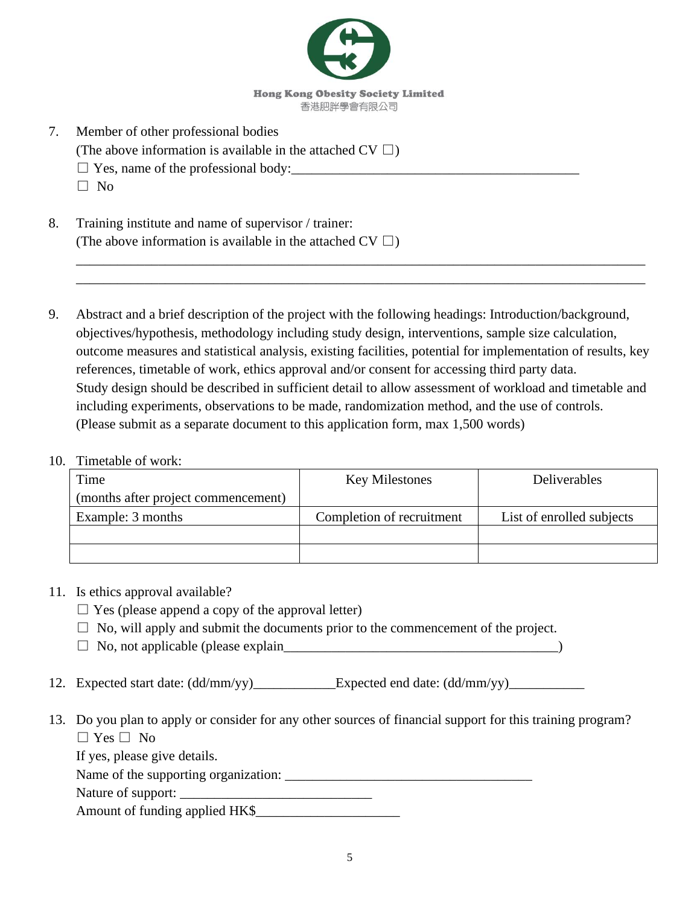

- 7. Member of other professional bodies
	- (The above information is available in the attached  $CV \square$ )
	- $\square$  Yes, name of the professional body:
	- $\Box$  No
- 8. Training institute and name of supervisor / trainer: (The above information is available in the attached CV  $\square$ )
- 9. Abstract and a brief description of the project with the following headings: Introduction/background, objectives/hypothesis, methodology including study design, interventions, sample size calculation, outcome measures and statistical analysis, existing facilities, potential for implementation of results, key references, timetable of work, ethics approval and/or consent for accessing third party data. Study design should be described in sufficient detail to allow assessment of workload and timetable and including experiments, observations to be made, randomization method, and the use of controls. (Please submit as a separate document to this application form, max 1,500 words)

\_\_\_\_\_\_\_\_\_\_\_\_\_\_\_\_\_\_\_\_\_\_\_\_\_\_\_\_\_\_\_\_\_\_\_\_\_\_\_\_\_\_\_\_\_\_\_\_\_\_\_\_\_\_\_\_\_\_\_\_\_\_\_\_\_\_\_\_\_\_\_\_\_\_\_\_\_\_\_\_\_\_\_ \_\_\_\_\_\_\_\_\_\_\_\_\_\_\_\_\_\_\_\_\_\_\_\_\_\_\_\_\_\_\_\_\_\_\_\_\_\_\_\_\_\_\_\_\_\_\_\_\_\_\_\_\_\_\_\_\_\_\_\_\_\_\_\_\_\_\_\_\_\_\_\_\_\_\_\_\_\_\_\_\_\_\_

#### 10. Timetable of work:

| Time                                | <b>Key Milestones</b>     | Deliverables              |
|-------------------------------------|---------------------------|---------------------------|
| (months after project commencement) |                           |                           |
| Example: 3 months                   | Completion of recruitment | List of enrolled subjects |
|                                     |                           |                           |
|                                     |                           |                           |

#### 11. Is ethics approval available?

- $\Box$  Yes (please append a copy of the approval letter)
- $\Box$  No, will apply and submit the documents prior to the commencement of the project.
- □ No, not applicable (please explain\_\_\_\_\_\_\_\_\_\_\_\_\_\_\_\_\_\_\_\_\_\_\_\_\_\_\_\_\_\_\_\_\_\_\_\_\_\_\_\_)
- 12. Expected start date: (dd/mm/yy)\_\_\_\_\_\_\_\_\_\_\_\_Expected end date: (dd/mm/yy)\_\_\_\_\_\_\_\_\_\_\_
- 13. Do you plan to apply or consider for any other sources of financial support for this training program?  $\Box$  Yes  $\Box$  No

If yes, please give details.

Name of the supporting organization: \_\_\_\_\_\_\_\_\_\_\_\_\_\_\_\_\_\_\_\_\_\_\_\_\_\_\_\_\_\_\_\_\_\_\_\_

Nature of support: \_\_\_\_\_\_\_\_\_\_\_\_\_\_\_\_\_\_\_\_\_\_\_\_\_\_\_\_

Amount of funding applied HK\$\_\_\_\_\_\_\_\_\_\_\_\_\_\_\_\_\_\_\_\_\_